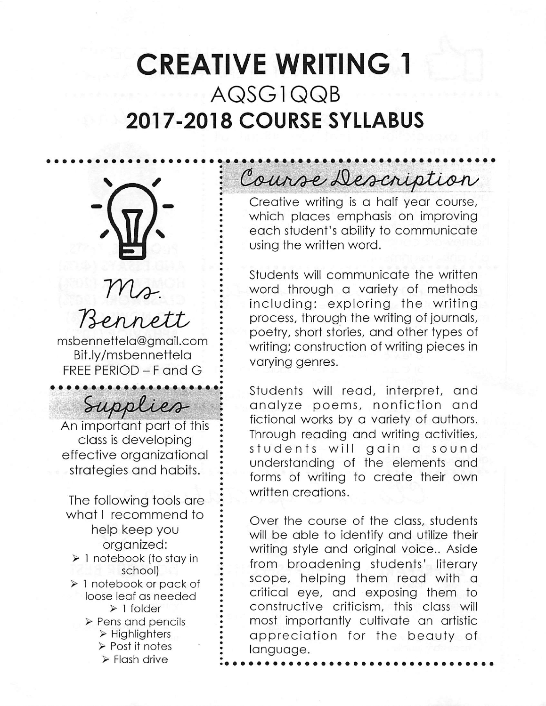# CREATIVE WRITING 1 AQSG1QQB 2017-2018 COURSE SYLLABUS



## $M_{\ell}$ . Bennet

msbennettela@gmail.com Bit.ly/msbennettela FREE PERIOD - F and G

Supplies

An important part of this class is developing effective organizational strategies and habits.

The following tools are what I recommend to help keep you organized: > 1 notebook (to stay in school) > 1 notebook or pack of loose leaf as needed > 1 folder

> Pens and pencils > Highlighfers > Post it notes  $\triangleright$  Flash drive

Course Description

Creative writing is a half year course, which places emphasis on improving each student's ability to communicate using the written word.

Students will communicate the written word through a variety of methods including: exploring the writing process, through the writing of journals, poetry, short stories, and other types of writing; construction of writing pieces in varying genres.

Students will read, interpret, and analyze poems, nonfiction and fictional works by a variety of authors. Through reading and writing activities, students will gain a sound understanding of the elements and forms of writing to create their own written creations.

Over the course of the class, students will be able to identify and utilize their writing style and original voice.. Aside from broadening students' literary scope, helping them read with a critical eye, and exposing them to constructive criticism, this class will most importantly cultivate an artistic appreciation for the beauty of language.